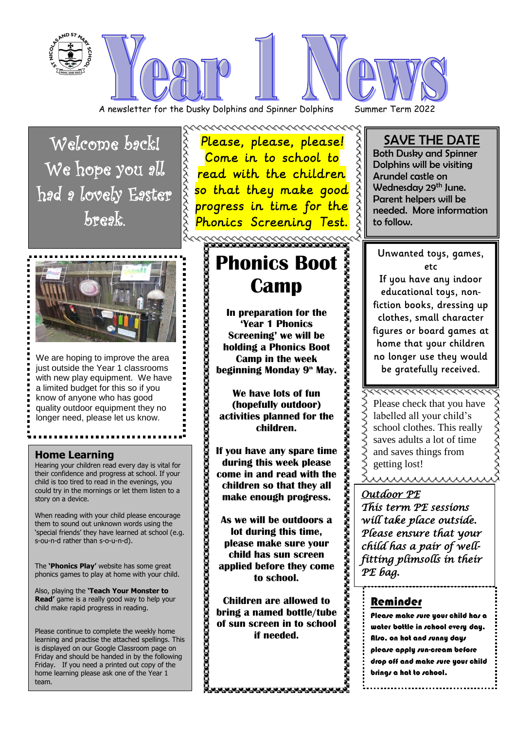

A newsletter for the Dusky Dolphins and Spinner Dolphins Summer Term 2022

Welcome back! We hope you all had a lovely Easter break.



We are hoping to improve the area just outside the Year 1 classrooms with new play equipment. We have a limited budget for this so if you know of anyone who has good quality outdoor equipment they no longer need, please let us know.

### **Home Learning**

Hearing your children read every day is vital for their confidence and progress at school. If your child is too tired to read in the evenings, you could try in the mornings or let them listen to a story on a device.

When reading with your child please encourage them to sound out unknown words using the 'special friends' they have learned at school (e.g. s-ou-n-d rather than s-o-u-n-d).

The **'Phonics Play'** website has some great phonics games to play at home with your child.

Also, playing the **'Teach Your Monster to Read'** game is a really good way to help your child make rapid progress in reading.

Please continue to complete the weekly home learning and practise the attached spellings. This is displayed on our Google Classroom page on Friday and should be handed in by the following Friday. If you need a printed out copy of the home learning please ask one of the Year 1 team.

Please, please, please! Come in to school to read with the children **Please, please, please!**<br>Come in to school to<br>read with the children<br>so that they make good<br>progress in time for the<br>Phonics Screening Test. progress in time for the Phonics Screening Test.

~~~~~~~~~~~~~~~~~~

# でも、そのことでも、そのこともありませんですから、そのこともありませんですから、そのこともありませんですから、そのこともありませんですから、そのこともありませんですから、そのこともありませんですから、 **Camp**

**In preparation for the 'Year 1 Phonics Screening' we will be holding a Phonics Boot Camp in the week beginning Monday 9th May.**

**We have lots of fun (hopefully outdoor) activities planned for the children.** 

**If you have any spare time during this week please come in and read with the children so that they all make enough progress.**

**Phonics Boot**<br> **Camp**<br> **Phonics**<br> **Phonics**<br> **Phonics**<br> **Phonics Boot**<br> **Camp in the week**<br> **Screening' we will be**<br> **Dolding a Phonics Boot**<br> **Camp in the week**<br> **Screening' we will be**<br> **Camp in the week**<br> **Phonics Boot As we will be outdoors a lot during this time, please make sure your child has sun screen applied before they come to school.**

**Children are allowed to bring a named bottle/tube of sun screen in to school if needed.** 

ananananananananananananana

# SAVE THE DATE

Both Dusky and Spinner Dolphins will be visiting Arundel castle on Wednesday 29<sup>th</sup> June. Parent helpers will be needed. More information to follow.

Unwanted toys, games, etc If you have any indoor educational toys, non-

fiction books, dressing up clothes, small character figures or board games at home that your children no longer use they would be gratefully received.

wwwwwww Please check that you have labelled all your child's school clothes. This really saves adults a lot of time and saves things from getting lost!

,,,,,,,,,,,,,,,,,,,,,

## *Outdoor PE*

*This term PE sessions will take place outside. Please ensure that your child has a pair of wellfitting plimsolls in their PE bag.* 

# Reminder

Please make sure your child has a water bottle in school every day. Also, on hot and sunny days please apply sun-cream before drop off and make sure your child brings a hat to school.